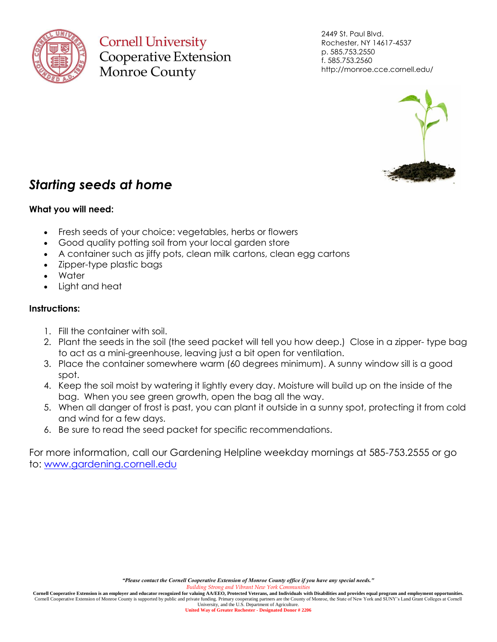

**Cornell University** Cooperative Extension **Monroe County** 

2449 St. Paul Blvd. Rochester, NY 14617-4537 p. 585.753.2550 f. 585.753.2560 http://monroe.cce.cornell.edu/



## *Starting seeds at home*

## **What you will need:**

- Fresh seeds of your choice: vegetables, herbs or flowers
- Good quality potting soil from your local garden store
- A container such as jiffy pots, clean milk cartons, clean egg cartons
- Zipper-type plastic bags
- Water
- Light and heat

## **Instructions:**

- 1. Fill the container with soil.
- 2. Plant the seeds in the soil (the seed packet will tell you how deep.) Close in a zipper- type bag to act as a mini-greenhouse, leaving just a bit open for ventilation.
- 3. Place the container somewhere warm (60 degrees minimum). A sunny window sill is a good spot.
- 4. Keep the soil moist by watering it lightly every day. Moisture will build up on the inside of the bag. When you see green growth, open the bag all the way.
- 5. When all danger of frost is past, you can plant it outside in a sunny spot, protecting it from cold and wind for a few days.
- 6. Be sure to read the seed packet for specific recommendations.

For more information, call our Gardening Helpline weekday mornings at 585-753.2555 or go to: [www.gardening.cornell.edu](http://www.gardening.cornell.edu/)

Cornell Cooperative Extension is an employer and educator recognized for valuing AA/EEO, Protected Veterans, and Individuals with Disabilities and provides equal program and employment opportunities.<br>Cornell Cooperative Ex University, and the U.S. Department of Agriculture.

**United Way of Greater Rochester - Designated Donor # 2206**